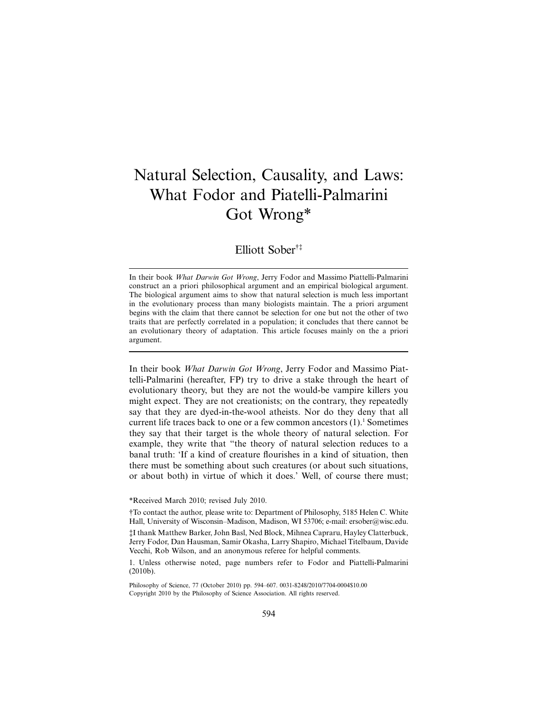# Natural Selection, Causality, and Laws: What Fodor and Piatelli-Palmarini Got Wrong\*

## Elliott Sober†‡

In their book *What Darwin Got Wrong*, Jerry Fodor and Massimo Piattelli-Palmarini construct an a priori philosophical argument and an empirical biological argument. The biological argument aims to show that natural selection is much less important in the evolutionary process than many biologists maintain. The a priori argument begins with the claim that there cannot be selection for one but not the other of two traits that are perfectly correlated in a population; it concludes that there cannot be an evolutionary theory of adaptation. This article focuses mainly on the a priori argument.

In their book *What Darwin Got Wrong*, Jerry Fodor and Massimo Piattelli-Palmarini (hereafter, FP) try to drive a stake through the heart of evolutionary theory, but they are not the would-be vampire killers you might expect. They are not creationists; on the contrary, they repeatedly say that they are dyed-in-the-wool atheists. Nor do they deny that all current life traces back to one or a few common ancestors  $(1)$ .<sup>1</sup> Sometimes they say that their target is the whole theory of natural selection. For example, they write that "the theory of natural selection reduces to a banal truth: 'If a kind of creature flourishes in a kind of situation, then there must be something about such creatures (or about such situations, or about both) in virtue of which it does.' Well, of course there must;

\*Received March 2010; revised July 2010.

†To contact the author, please write to: Department of Philosophy, 5185 Helen C. White Hall, University of Wisconsin–Madison, Madison, WI 53706; e-mail: ersober@wisc.edu. ‡I thank Matthew Barker, John Basl, Ned Block, Mihnea Capraru, Hayley Clatterbuck, Jerry Fodor, Dan Hausman, Samir Okasha, Larry Shapiro, Michael Titelbaum, Davide Vecchi, Rob Wilson, and an anonymous referee for helpful comments.

1. Unless otherwise noted, page numbers refer to Fodor and Piattelli-Palmarini (2010b).

Philosophy of Science, 77 (October 2010) pp. 594–607. 0031-8248/2010/7704-0004\$10.00 Copyright 2010 by the Philosophy of Science Association. All rights reserved.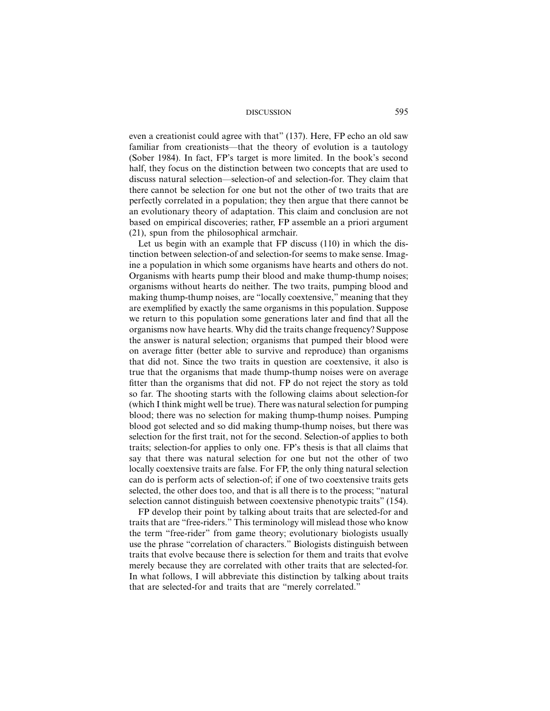even a creationist could agree with that" (137). Here, FP echo an old saw familiar from creationists—that the theory of evolution is a tautology (Sober 1984). In fact, FP's target is more limited. In the book's second half, they focus on the distinction between two concepts that are used to discuss natural selection—selection-of and selection-for. They claim that there cannot be selection for one but not the other of two traits that are perfectly correlated in a population; they then argue that there cannot be an evolutionary theory of adaptation. This claim and conclusion are not based on empirical discoveries; rather, FP assemble an a priori argument (21), spun from the philosophical armchair.

Let us begin with an example that FP discuss (110) in which the distinction between selection-of and selection-for seems to make sense. Imagine a population in which some organisms have hearts and others do not. Organisms with hearts pump their blood and make thump-thump noises; organisms without hearts do neither. The two traits, pumping blood and making thump-thump noises, are "locally coextensive," meaning that they are exemplified by exactly the same organisms in this population. Suppose we return to this population some generations later and find that all the organisms now have hearts. Why did the traits change frequency? Suppose the answer is natural selection; organisms that pumped their blood were on average fitter (better able to survive and reproduce) than organisms that did not. Since the two traits in question are coextensive, it also is true that the organisms that made thump-thump noises were on average fitter than the organisms that did not. FP do not reject the story as told so far. The shooting starts with the following claims about selection-for (which I think might well be true). There was natural selection for pumping blood; there was no selection for making thump-thump noises. Pumping blood got selected and so did making thump-thump noises, but there was selection for the first trait, not for the second. Selection-of applies to both traits; selection-for applies to only one. FP's thesis is that all claims that say that there was natural selection for one but not the other of two locally coextensive traits are false. For FP, the only thing natural selection can do is perform acts of selection-of; if one of two coextensive traits gets selected, the other does too, and that is all there is to the process; "natural selection cannot distinguish between coextensive phenotypic traits" (154).

FP develop their point by talking about traits that are selected-for and traits that are "free-riders." This terminology will mislead those who know the term "free-rider" from game theory; evolutionary biologists usually use the phrase "correlation of characters." Biologists distinguish between traits that evolve because there is selection for them and traits that evolve merely because they are correlated with other traits that are selected-for. In what follows, I will abbreviate this distinction by talking about traits that are selected-for and traits that are "merely correlated."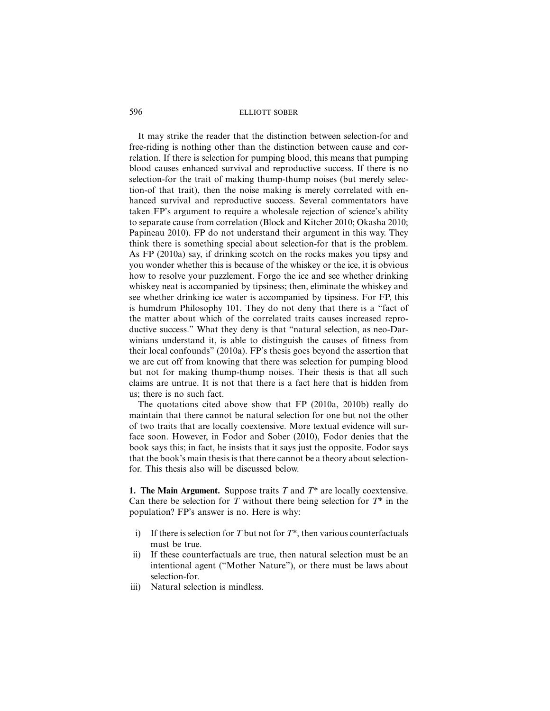It may strike the reader that the distinction between selection-for and free-riding is nothing other than the distinction between cause and correlation. If there is selection for pumping blood, this means that pumping blood causes enhanced survival and reproductive success. If there is no selection-for the trait of making thump-thump noises (but merely selection-of that trait), then the noise making is merely correlated with enhanced survival and reproductive success. Several commentators have taken FP's argument to require a wholesale rejection of science's ability to separate cause from correlation (Block and Kitcher 2010; Okasha 2010; Papineau 2010). FP do not understand their argument in this way. They think there is something special about selection-for that is the problem. As FP (2010a) say, if drinking scotch on the rocks makes you tipsy and you wonder whether this is because of the whiskey or the ice, it is obvious how to resolve your puzzlement. Forgo the ice and see whether drinking whiskey neat is accompanied by tipsiness; then, eliminate the whiskey and see whether drinking ice water is accompanied by tipsiness. For FP, this is humdrum Philosophy 101. They do not deny that there is a "fact of the matter about which of the correlated traits causes increased reproductive success." What they deny is that "natural selection, as neo-Darwinians understand it, is able to distinguish the causes of fitness from their local confounds" (2010a). FP's thesis goes beyond the assertion that we are cut off from knowing that there was selection for pumping blood but not for making thump-thump noises. Their thesis is that all such claims are untrue. It is not that there is a fact here that is hidden from us; there is no such fact.

The quotations cited above show that FP (2010a, 2010b) really do maintain that there cannot be natural selection for one but not the other of two traits that are locally coextensive. More textual evidence will surface soon. However, in Fodor and Sober (2010), Fodor denies that the book says this; in fact, he insists that it says just the opposite. Fodor says that the book's main thesis is that there cannot be a theory about selectionfor. This thesis also will be discussed below.

**1. The Main Argument.** Suppose traits *T* and *T\** are locally coextensive. Can there be selection for *T* without there being selection for *T\** in the population? FP's answer is no. Here is why:

- i) If there is selection for *T* but not for *T\**, then various counterfactuals must be true.
- ii) If these counterfactuals are true, then natural selection must be an intentional agent ("Mother Nature"), or there must be laws about selection-for.
- iii) Natural selection is mindless.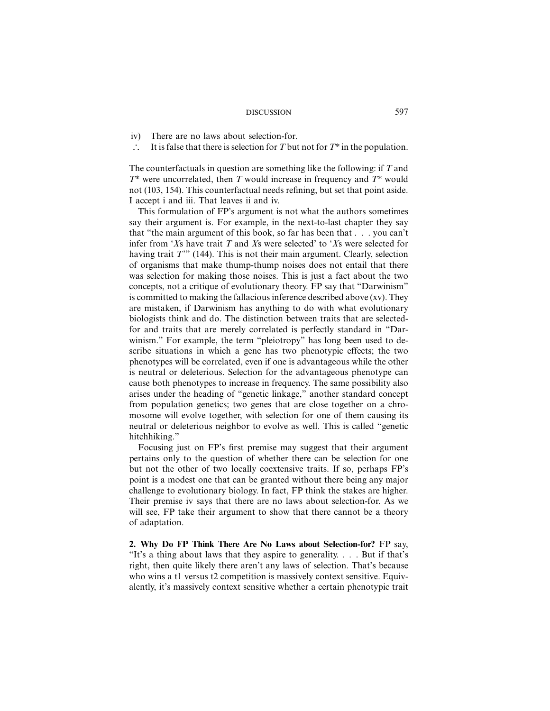iv) There are no laws about selection-for.

 $\therefore$  It is false that there is selection for *T* but not for  $T^*$  in the population.

The counterfactuals in question are something like the following: if *T* and *T\** were uncorrelated, then *T* would increase in frequency and *T\** would not (103, 154). This counterfactual needs refining, but set that point aside. I accept i and iii. That leaves ii and iv.

This formulation of FP's argument is not what the authors sometimes say their argument is. For example, in the next-to-last chapter they say that "the main argument of this book, so far has been that . . . you can't infer from '*X*s have trait *T* and *X*s were selected' to '*X*s were selected for having trait *T*<sup>\*\*</sup> (144). This is not their main argument. Clearly, selection of organisms that make thump-thump noises does not entail that there was selection for making those noises. This is just a fact about the two concepts, not a critique of evolutionary theory. FP say that "Darwinism" is committed to making the fallacious inference described above (xv). They are mistaken, if Darwinism has anything to do with what evolutionary biologists think and do. The distinction between traits that are selectedfor and traits that are merely correlated is perfectly standard in "Darwinism." For example, the term "pleiotropy" has long been used to describe situations in which a gene has two phenotypic effects; the two phenotypes will be correlated, even if one is advantageous while the other is neutral or deleterious. Selection for the advantageous phenotype can cause both phenotypes to increase in frequency. The same possibility also arises under the heading of "genetic linkage," another standard concept from population genetics; two genes that are close together on a chromosome will evolve together, with selection for one of them causing its neutral or deleterious neighbor to evolve as well. This is called "genetic hitchhiking."

Focusing just on FP's first premise may suggest that their argument pertains only to the question of whether there can be selection for one but not the other of two locally coextensive traits. If so, perhaps FP's point is a modest one that can be granted without there being any major challenge to evolutionary biology. In fact, FP think the stakes are higher. Their premise iv says that there are no laws about selection-for. As we will see, FP take their argument to show that there cannot be a theory of adaptation.

**2. Why Do FP Think There Are No Laws about Selection-for?** FP say, "It's a thing about laws that they aspire to generality. . . . But if that's right, then quite likely there aren't any laws of selection. That's because who wins a t1 versus t2 competition is massively context sensitive. Equivalently, it's massively context sensitive whether a certain phenotypic trait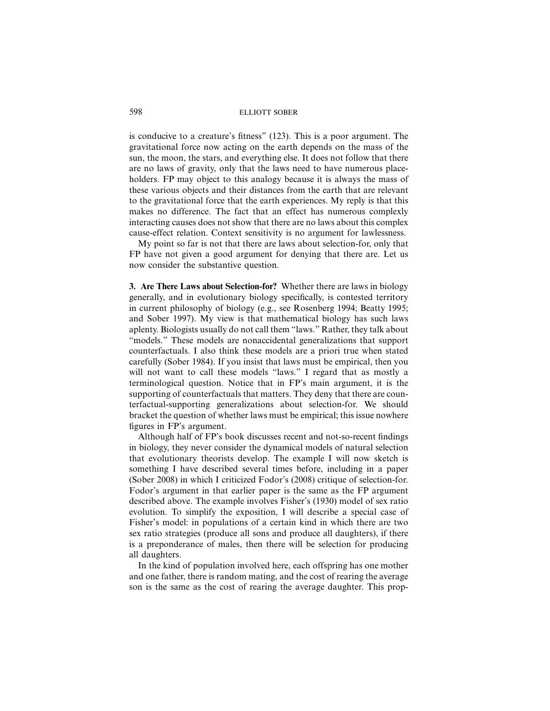is conducive to a creature's fitness" (123). This is a poor argument. The gravitational force now acting on the earth depends on the mass of the sun, the moon, the stars, and everything else. It does not follow that there are no laws of gravity, only that the laws need to have numerous placeholders. FP may object to this analogy because it is always the mass of these various objects and their distances from the earth that are relevant to the gravitational force that the earth experiences. My reply is that this makes no difference. The fact that an effect has numerous complexly interacting causes does not show that there are no laws about this complex cause-effect relation. Context sensitivity is no argument for lawlessness.

My point so far is not that there are laws about selection-for, only that FP have not given a good argument for denying that there are. Let us now consider the substantive question.

**3. Are There Laws about Selection-for?** Whether there are laws in biology generally, and in evolutionary biology specifically, is contested territory in current philosophy of biology (e.g., see Rosenberg 1994; Beatty 1995; and Sober 1997). My view is that mathematical biology has such laws aplenty. Biologists usually do not call them "laws." Rather, they talk about "models." These models are nonaccidental generalizations that support counterfactuals. I also think these models are a priori true when stated carefully (Sober 1984). If you insist that laws must be empirical, then you will not want to call these models "laws." I regard that as mostly a terminological question. Notice that in FP's main argument, it is the supporting of counterfactuals that matters. They deny that there are counterfactual-supporting generalizations about selection-for. We should bracket the question of whether laws must be empirical; this issue nowhere figures in FP's argument.

Although half of FP's book discusses recent and not-so-recent findings in biology, they never consider the dynamical models of natural selection that evolutionary theorists develop. The example I will now sketch is something I have described several times before, including in a paper (Sober 2008) in which I criticized Fodor's (2008) critique of selection-for. Fodor's argument in that earlier paper is the same as the FP argument described above. The example involves Fisher's (1930) model of sex ratio evolution. To simplify the exposition, I will describe a special case of Fisher's model: in populations of a certain kind in which there are two sex ratio strategies (produce all sons and produce all daughters), if there is a preponderance of males, then there will be selection for producing all daughters.

In the kind of population involved here, each offspring has one mother and one father, there is random mating, and the cost of rearing the average son is the same as the cost of rearing the average daughter. This prop-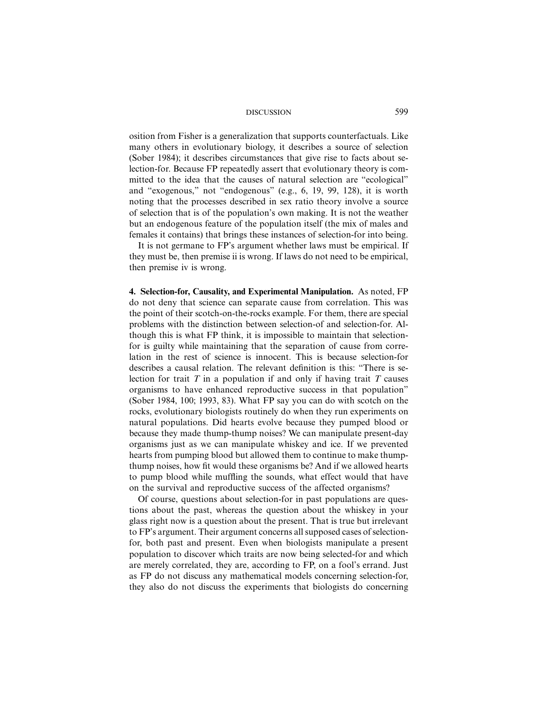osition from Fisher is a generalization that supports counterfactuals. Like many others in evolutionary biology, it describes a source of selection (Sober 1984); it describes circumstances that give rise to facts about selection-for. Because FP repeatedly assert that evolutionary theory is committed to the idea that the causes of natural selection are "ecological" and "exogenous," not "endogenous" (e.g., 6, 19, 99, 128), it is worth noting that the processes described in sex ratio theory involve a source of selection that is of the population's own making. It is not the weather but an endogenous feature of the population itself (the mix of males and females it contains) that brings these instances of selection-for into being.

It is not germane to FP's argument whether laws must be empirical. If they must be, then premise ii is wrong. If laws do not need to be empirical, then premise iv is wrong.

**4. Selection-for, Causality, and Experimental Manipulation.** As noted, FP do not deny that science can separate cause from correlation. This was the point of their scotch-on-the-rocks example. For them, there are special problems with the distinction between selection-of and selection-for. Although this is what FP think, it is impossible to maintain that selectionfor is guilty while maintaining that the separation of cause from correlation in the rest of science is innocent. This is because selection-for describes a causal relation. The relevant definition is this: "There is selection for trait *T* in a population if and only if having trait *T* causes organisms to have enhanced reproductive success in that population" (Sober 1984, 100; 1993, 83). What FP say you can do with scotch on the rocks, evolutionary biologists routinely do when they run experiments on natural populations. Did hearts evolve because they pumped blood or because they made thump-thump noises? We can manipulate present-day organisms just as we can manipulate whiskey and ice. If we prevented hearts from pumping blood but allowed them to continue to make thumpthump noises, how fit would these organisms be? And if we allowed hearts to pump blood while muffling the sounds, what effect would that have on the survival and reproductive success of the affected organisms?

Of course, questions about selection-for in past populations are questions about the past, whereas the question about the whiskey in your glass right now is a question about the present. That is true but irrelevant to FP's argument. Their argument concerns all supposed cases of selectionfor, both past and present. Even when biologists manipulate a present population to discover which traits are now being selected-for and which are merely correlated, they are, according to FP, on a fool's errand. Just as FP do not discuss any mathematical models concerning selection-for, they also do not discuss the experiments that biologists do concerning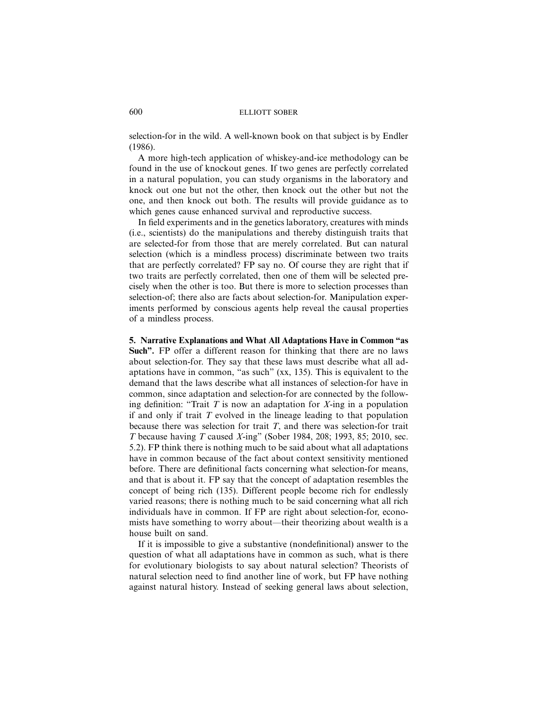selection-for in the wild. A well-known book on that subject is by Endler (1986).

A more high-tech application of whiskey-and-ice methodology can be found in the use of knockout genes. If two genes are perfectly correlated in a natural population, you can study organisms in the laboratory and knock out one but not the other, then knock out the other but not the one, and then knock out both. The results will provide guidance as to which genes cause enhanced survival and reproductive success.

In field experiments and in the genetics laboratory, creatures with minds (i.e., scientists) do the manipulations and thereby distinguish traits that are selected-for from those that are merely correlated. But can natural selection (which is a mindless process) discriminate between two traits that are perfectly correlated? FP say no. Of course they are right that if two traits are perfectly correlated, then one of them will be selected precisely when the other is too. But there is more to selection processes than selection-of; there also are facts about selection-for. Manipulation experiments performed by conscious agents help reveal the causal properties of a mindless process.

**5. Narrative Explanations and What All Adaptations Have in Common "as Such".** FP offer a different reason for thinking that there are no laws about selection-for. They say that these laws must describe what all adaptations have in common, "as such" (xx, 135). This is equivalent to the demand that the laws describe what all instances of selection-for have in common, since adaptation and selection-for are connected by the following definition: "Trait *T* is now an adaptation for *X*-ing in a population if and only if trait *T* evolved in the lineage leading to that population because there was selection for trait *T*, and there was selection-for trait *T* because having *T* caused *X*-ing" (Sober 1984, 208; 1993, 85; 2010, sec. 5.2). FP think there is nothing much to be said about what all adaptations have in common because of the fact about context sensitivity mentioned before. There are definitional facts concerning what selection-for means, and that is about it. FP say that the concept of adaptation resembles the concept of being rich (135). Different people become rich for endlessly varied reasons; there is nothing much to be said concerning what all rich individuals have in common. If FP are right about selection-for, economists have something to worry about—their theorizing about wealth is a house built on sand.

If it is impossible to give a substantive (nondefinitional) answer to the question of what all adaptations have in common as such, what is there for evolutionary biologists to say about natural selection? Theorists of natural selection need to find another line of work, but FP have nothing against natural history. Instead of seeking general laws about selection,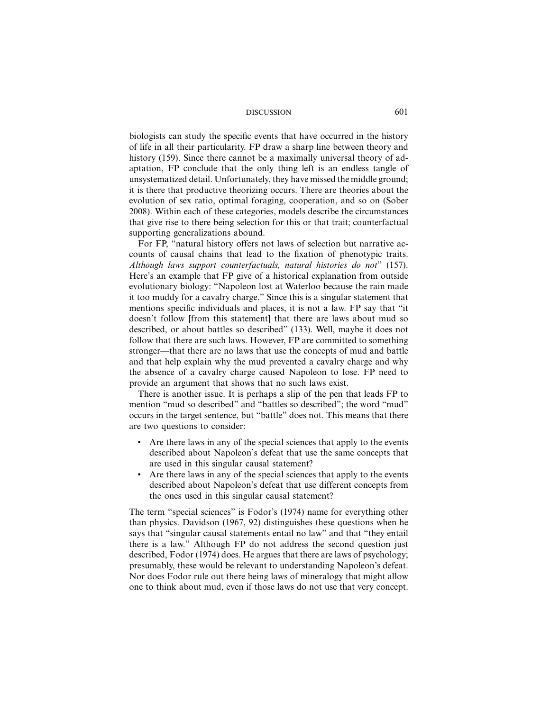biologists can study the specific events that have occurred in the history of life in all their particularity. FP draw a sharp line between theory and history (159). Since there cannot be a maximally universal theory of adaptation, FP conclude that the only thing left is an endless tangle of unsystematized detail. Unfortunately, they have missed the middle ground; it is there that productive theorizing occurs. There are theories about the evolution of sex ratio, optimal foraging, cooperation, and so on (Sober 2008). Within each of these categories, models describe the circumstances that give rise to there being selection for this or that trait; counterfactual supporting generalizations abound.

For FP, "natural history offers not laws of selection but narrative accounts of causal chains that lead to the fixation of phenotypic traits. *Although laws support counterfactuals, natural histories do not*" (157). Here's an example that FP give of a historical explanation from outside evolutionary biology: "Napoleon lost at Waterloo because the rain made it too muddy for a cavalry charge." Since this is a singular statement that mentions specific individuals and places, it is not a law. FP say that "it doesn't follow [from this statement] that there are laws about mud so described, or about battles so described" (133). Well, maybe it does not follow that there are such laws. However, FP are committed to something stronger—that there are no laws that use the concepts of mud and battle and that help explain why the mud prevented a cavalry charge and why the absence of a cavalry charge caused Napoleon to lose. FP need to provide an argument that shows that no such laws exist.

There is another issue. It is perhaps a slip of the pen that leads FP to mention "mud so described" and "battles so described"; the word "mud" occurs in the target sentence, but "battle" does not. This means that there are two questions to consider:

- Are there laws in any of the special sciences that apply to the events described about Napoleon's defeat that use the same concepts that are used in this singular causal statement?
- Are there laws in any of the special sciences that apply to the events described about Napoleon's defeat that use different concepts from the ones used in this singular causal statement?

The term "special sciences" is Fodor's (1974) name for everything other than physics. Davidson (1967, 92) distinguishes these questions when he says that "singular causal statements entail no law" and that "they entail there is a law." Although FP do not address the second question just described, Fodor (1974) does. He argues that there are laws of psychology; presumably, these would be relevant to understanding Napoleon's defeat. Nor does Fodor rule out there being laws of mineralogy that might allow one to think about mud, even if those laws do not use that very concept.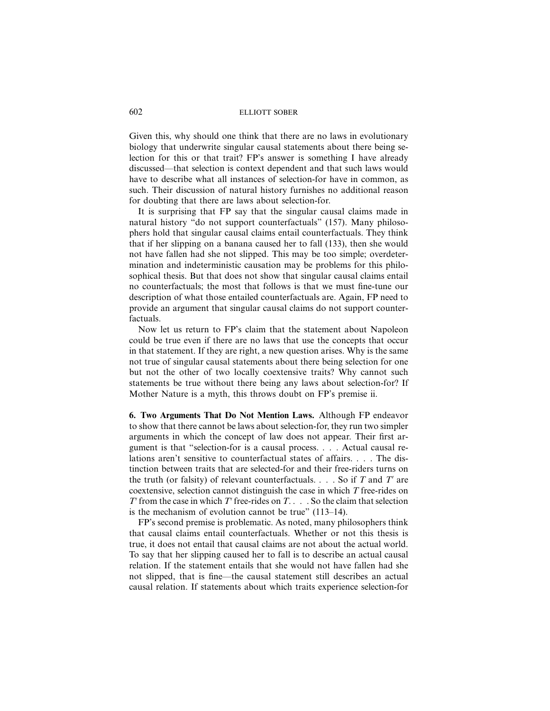Given this, why should one think that there are no laws in evolutionary biology that underwrite singular causal statements about there being selection for this or that trait? FP's answer is something I have already discussed—that selection is context dependent and that such laws would have to describe what all instances of selection-for have in common, as such. Their discussion of natural history furnishes no additional reason for doubting that there are laws about selection-for.

It is surprising that FP say that the singular causal claims made in natural history "do not support counterfactuals" (157). Many philosophers hold that singular causal claims entail counterfactuals. They think that if her slipping on a banana caused her to fall (133), then she would not have fallen had she not slipped. This may be too simple; overdetermination and indeterministic causation may be problems for this philosophical thesis. But that does not show that singular causal claims entail no counterfactuals; the most that follows is that we must fine-tune our description of what those entailed counterfactuals are. Again, FP need to provide an argument that singular causal claims do not support counterfactuals.

Now let us return to FP's claim that the statement about Napoleon could be true even if there are no laws that use the concepts that occur in that statement. If they are right, a new question arises. Why is the same not true of singular causal statements about there being selection for one but not the other of two locally coextensive traits? Why cannot such statements be true without there being any laws about selection-for? If Mother Nature is a myth, this throws doubt on FP's premise ii.

**6. Two Arguments That Do Not Mention Laws.** Although FP endeavor to show that there cannot be laws about selection-for, they run two simpler arguments in which the concept of law does not appear. Their first argument is that "selection-for is a causal process. . . . Actual causal relations aren't sensitive to counterfactual states of affairs. . . . The distinction between traits that are selected-for and their free-riders turns on the truth (or falsity) of relevant counterfactuals.  $\ldots$  So if *T* and *T'* are coextensive, selection cannot distinguish the case in which *T* free-rides on  $T'$  from the case in which  $T'$  free-rides on  $T$ . . . . So the claim that selection is the mechanism of evolution cannot be true" (113–14).

FP's second premise is problematic. As noted, many philosophers think that causal claims entail counterfactuals. Whether or not this thesis is true, it does not entail that causal claims are not about the actual world. To say that her slipping caused her to fall is to describe an actual causal relation. If the statement entails that she would not have fallen had she not slipped, that is fine—the causal statement still describes an actual causal relation. If statements about which traits experience selection-for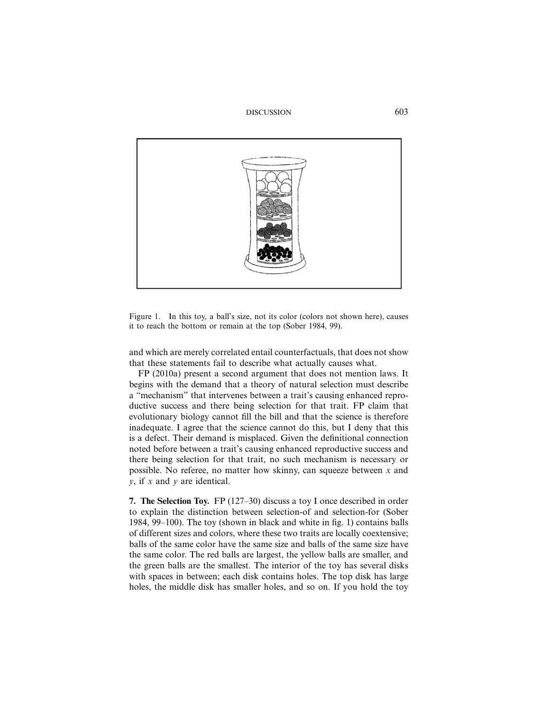

Figure 1. In this toy, a ball's size, not its color (colors not shown here), causes it to reach the bottom or remain at the top (Sober 1984, 99).

and which are merely correlated entail counterfactuals, that does not show that these statements fail to describe what actually causes what.

FP (2010a) present a second argument that does not mention laws. It begins with the demand that a theory of natural selection must describe a "mechanism" that intervenes between a trait's causing enhanced reproductive success and there being selection for that trait. FP claim that evolutionary biology cannot fill the bill and that the science is therefore inadequate. I agree that the science cannot do this, but I deny that this is a defect. Their demand is misplaced. Given the definitional connection noted before between a trait's causing enhanced reproductive success and there being selection for that trait, no such mechanism is necessary or possible. No referee, no matter how skinny, can squeeze between *x* and *y*, if *x* and *y* are identical.

**7. The Selection Toy.** FP (127–30) discuss a toy I once described in order to explain the distinction between selection-of and selection-for (Sober 1984, 99–100). The toy (shown in black and white in fig. 1) contains balls of different sizes and colors, where these two traits are locally coextensive; balls of the same color have the same size and balls of the same size have the same color. The red balls are largest, the yellow balls are smaller, and the green balls are the smallest. The interior of the toy has several disks with spaces in between; each disk contains holes. The top disk has large holes, the middle disk has smaller holes, and so on. If you hold the toy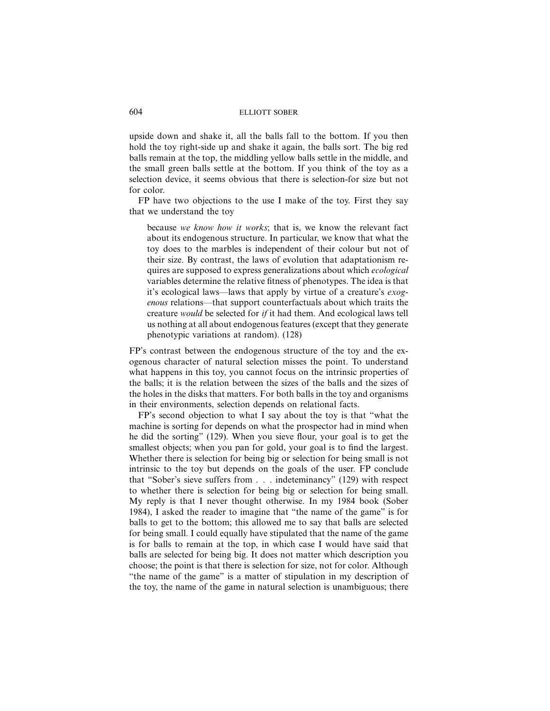upside down and shake it, all the balls fall to the bottom. If you then hold the toy right-side up and shake it again, the balls sort. The big red balls remain at the top, the middling yellow balls settle in the middle, and the small green balls settle at the bottom. If you think of the toy as a selection device, it seems obvious that there is selection-for size but not for color.

FP have two objections to the use I make of the toy. First they say that we understand the toy

because *we know how it works*; that is, we know the relevant fact about its endogenous structure. In particular, we know that what the toy does to the marbles is independent of their colour but not of their size. By contrast, the laws of evolution that adaptationism requires are supposed to express generalizations about which *ecological* variables determine the relative fitness of phenotypes. The idea is that it's ecological laws—laws that apply by virtue of a creature's *exogenous* relations—that support counterfactuals about which traits the creature *would* be selected for *if* it had them. And ecological laws tell us nothing at all about endogenous features (except that they generate phenotypic variations at random). (128)

FP's contrast between the endogenous structure of the toy and the exogenous character of natural selection misses the point. To understand what happens in this toy, you cannot focus on the intrinsic properties of the balls; it is the relation between the sizes of the balls and the sizes of the holes in the disks that matters. For both balls in the toy and organisms in their environments, selection depends on relational facts.

FP's second objection to what I say about the toy is that "what the machine is sorting for depends on what the prospector had in mind when he did the sorting" (129). When you sieve flour, your goal is to get the smallest objects; when you pan for gold, your goal is to find the largest. Whether there is selection for being big or selection for being small is not intrinsic to the toy but depends on the goals of the user. FP conclude that "Sober's sieve suffers from . . . indeteminancy" (129) with respect to whether there is selection for being big or selection for being small. My reply is that I never thought otherwise. In my 1984 book (Sober 1984), I asked the reader to imagine that "the name of the game" is for balls to get to the bottom; this allowed me to say that balls are selected for being small. I could equally have stipulated that the name of the game is for balls to remain at the top, in which case I would have said that balls are selected for being big. It does not matter which description you choose; the point is that there is selection for size, not for color. Although "the name of the game" is a matter of stipulation in my description of the toy, the name of the game in natural selection is unambiguous; there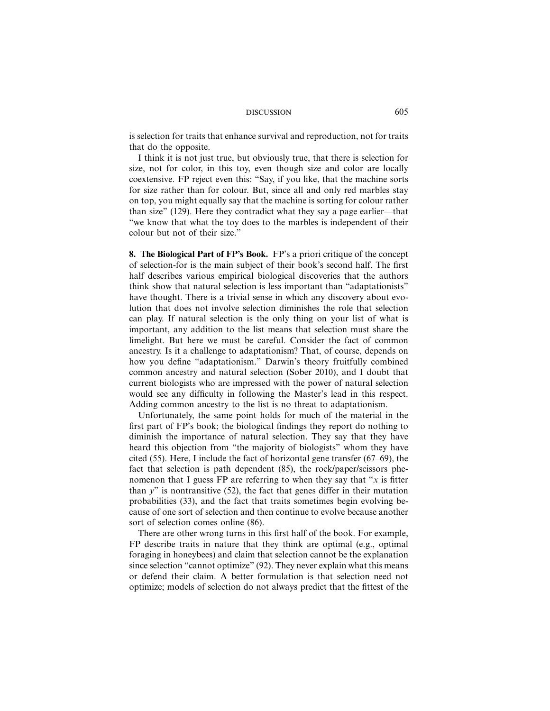is selection for traits that enhance survival and reproduction, not for traits that do the opposite.

I think it is not just true, but obviously true, that there is selection for size, not for color, in this toy, even though size and color are locally coextensive. FP reject even this: "Say, if you like, that the machine sorts for size rather than for colour. But, since all and only red marbles stay on top, you might equally say that the machine is sorting for colour rather than size" (129). Here they contradict what they say a page earlier—that "we know that what the toy does to the marbles is independent of their colour but not of their size."

**8. The Biological Part of FP's Book.** FP's a priori critique of the concept of selection-for is the main subject of their book's second half. The first half describes various empirical biological discoveries that the authors think show that natural selection is less important than "adaptationists" have thought. There is a trivial sense in which any discovery about evolution that does not involve selection diminishes the role that selection can play. If natural selection is the only thing on your list of what is important, any addition to the list means that selection must share the limelight. But here we must be careful. Consider the fact of common ancestry. Is it a challenge to adaptationism? That, of course, depends on how you define "adaptationism." Darwin's theory fruitfully combined common ancestry and natural selection (Sober 2010), and I doubt that current biologists who are impressed with the power of natural selection would see any difficulty in following the Master's lead in this respect. Adding common ancestry to the list is no threat to adaptationism.

Unfortunately, the same point holds for much of the material in the first part of FP's book; the biological findings they report do nothing to diminish the importance of natural selection. They say that they have heard this objection from "the majority of biologists" whom they have cited (55). Here, I include the fact of horizontal gene transfer (67–69), the fact that selection is path dependent (85), the rock/paper/scissors phenomenon that I guess FP are referring to when they say that " $x$  is fitter than  $y''$  is nontransitive (52), the fact that genes differ in their mutation probabilities (33), and the fact that traits sometimes begin evolving because of one sort of selection and then continue to evolve because another sort of selection comes online (86).

There are other wrong turns in this first half of the book. For example, FP describe traits in nature that they think are optimal (e.g., optimal foraging in honeybees) and claim that selection cannot be the explanation since selection "cannot optimize" (92). They never explain what this means or defend their claim. A better formulation is that selection need not optimize; models of selection do not always predict that the fittest of the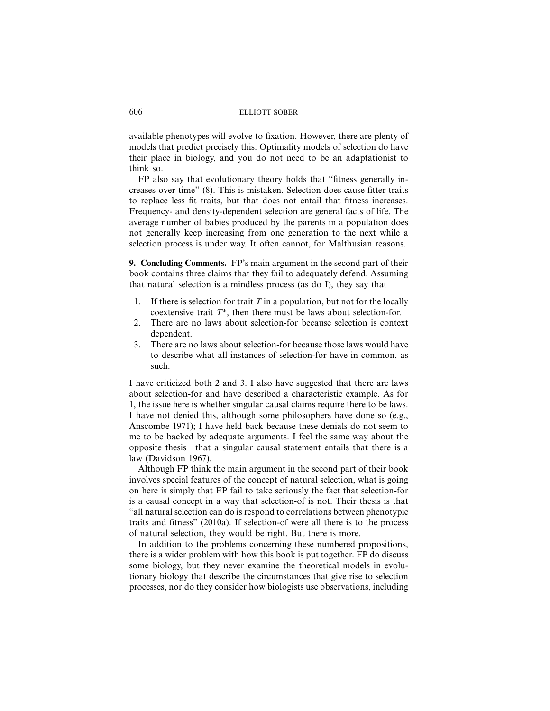available phenotypes will evolve to fixation. However, there are plenty of models that predict precisely this. Optimality models of selection do have their place in biology, and you do not need to be an adaptationist to think so.

FP also say that evolutionary theory holds that "fitness generally increases over time" (8). This is mistaken. Selection does cause fitter traits to replace less fit traits, but that does not entail that fitness increases. Frequency- and density-dependent selection are general facts of life. The average number of babies produced by the parents in a population does not generally keep increasing from one generation to the next while a selection process is under way. It often cannot, for Malthusian reasons.

**9. Concluding Comments.** FP's main argument in the second part of their book contains three claims that they fail to adequately defend. Assuming that natural selection is a mindless process (as do I), they say that

- 1. If there is selection for trait  $T$  in a population, but not for the locally coextensive trait *T\**, then there must be laws about selection-for.
- 2. There are no laws about selection-for because selection is context dependent.
- 3. There are no laws about selection-for because those laws would have to describe what all instances of selection-for have in common, as such.

I have criticized both 2 and 3. I also have suggested that there are laws about selection-for and have described a characteristic example. As for 1, the issue here is whether singular causal claims require there to be laws. I have not denied this, although some philosophers have done so (e.g., Anscombe 1971); I have held back because these denials do not seem to me to be backed by adequate arguments. I feel the same way about the opposite thesis—that a singular causal statement entails that there is a law (Davidson 1967).

Although FP think the main argument in the second part of their book involves special features of the concept of natural selection, what is going on here is simply that FP fail to take seriously the fact that selection-for is a causal concept in a way that selection-of is not. Their thesis is that "all natural selection can do is respond to correlations between phenotypic traits and fitness" (2010a). If selection-of were all there is to the process of natural selection, they would be right. But there is more.

In addition to the problems concerning these numbered propositions, there is a wider problem with how this book is put together. FP do discuss some biology, but they never examine the theoretical models in evolutionary biology that describe the circumstances that give rise to selection processes, nor do they consider how biologists use observations, including